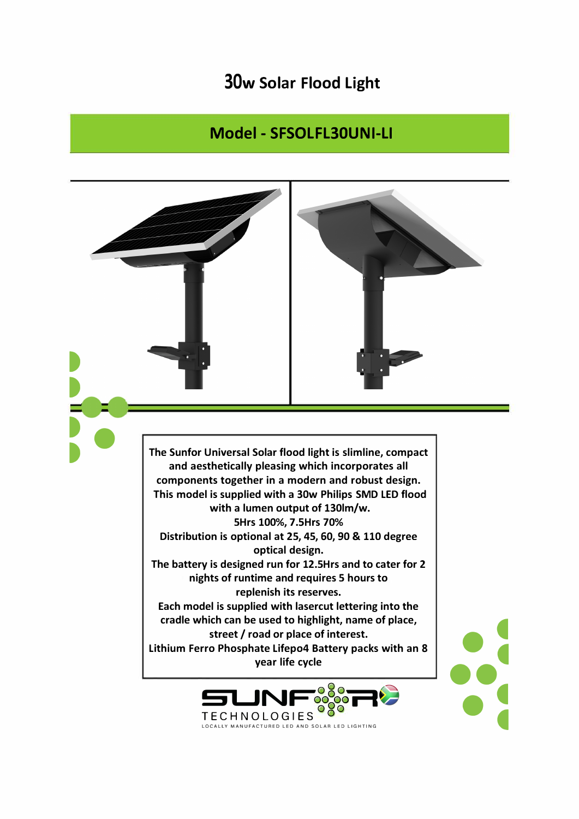## **30w Solar Flood Light**

## Model - SFSOLFL30UNI-LI